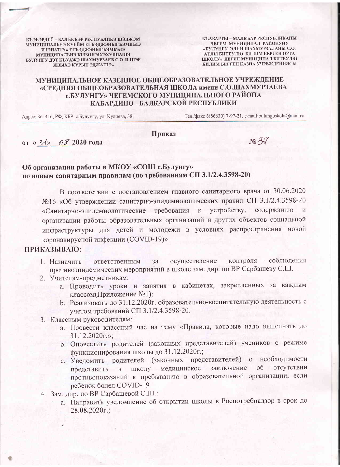КЪЭБЭРДЕЙ - БАЛЬКЪЭР РЕСПУБЛИКЭ ШЭДЖЭМ МУНИЦИПАЛЬНЭ КУЕЙМ ЕГЪЭДЖЭНЫГЪЭМКЫЭ И ІЭНАТІЭ « ЕГЪЭДЖЭНЫГЪЭМКЪІЭ МУНИЦИПАЛЬНЭ КІЭЗОНЭГУЭХУЩІАПІЭ БУЛУНГУ ДЭТ КЪУАЖЭ ШАХМУРЗАЕВ С.О. И ЦІЭР ЗЕЗЫХЭ КУРЫТ ЭДЖАПІЭ»

КЪАБАРТЫ - МАЛКЪАР РЕСПУБЛИКАНЫ ЧЕГЕМ МУНИЦИПАЛ РАЙОНУНУ «БУЛУНГУ ЭЛНИ ШАХМУРЗАЛАНЫ С.О. АТЛЫ БИТЕУЛЮ БИЛИМ БЕРГЕН ОРТА ШКОЛУ» ДЕГЕН МУНИЦИПАЛ БИТЕУЛЮ БИЛИМ БЕРГЕН КАЗНА УЧРЕЖДЕНИЯСЫ

## МУНИЦИПАЛЬНОЕ КАЗЕННОЕ ОБЩЕОБРАЗОВАТЕЛЬНОЕ УЧРЕЖДЕНИЕ «СРЕДНЯЯ ОБЩЕОБРАЗОВАТЕЛЬНАЯ ШКОЛА имени С.О.ШАХМУРЗАЕВА с.БУЛУНГУ» ЧЕГЕМСКОГО МУНИЦИПАЛЬНОГО РАЙОНА КАБАРДИНО - БАЛКАРСКОЙ РЕСПУБЛИКИ

Адрес: 361416, РФ, КБР с.Булунгу, ул. Кулиева, 38,

от «З<sup>1</sup>» Об 2020 года

Тел./факс 8(86630) 7-97-21, e-mail:bulunguskola@mail.ru

### Приказ

 $N_2$  37

## Об организации работы в МКОУ «СОШ с.Булунгу» по новым санитарным правилам (по требованиям СП 3.1/2.4.3598-20)

В соответствии с постановлением главного санитарного врача от 30.06.2020 №16 «Об утверждении санитарно-эпидемиологических правил СП 3.1/2.4.3598-20 «Санитарно-эпидемиологические требования к устройству, содержанию организации работы образовательных организаций и других объектов социальной инфраструктуры для детей и молодежи в условиях распространения новой коронавирусной инфекции (COVID-19)»

#### ПРИКАЗЫВАЮ:

- соблюдения контроля осуществление 1. Назначить ответственным  $3a$ противоэпидемических мероприятий в школе зам. дир. по ВР Сарбашеву С.Ш.
- 2. Учителям-предметникам:
	- а. Проводить уроки и занятия в кабинетах, закрепленных за каждым классом(Приложение №1);
	- b. Реализовать до 31.12.2020г. образовательно-воспитательную деятельность с учетом требований СП 3.1/2.4.3598-20.
- 3. Классным руководителям:
	- а. Провести классный час на тему «Правила, которые надо выполнять до  $31.12.2020$ r.»;
	- b. Оповестить родителей (законных представителей) учеников о режиме функционирования школы до 31.12.2020г.;
	- с. Уведомить родителей (законных представителей) о необходимости представить в школу медицинское заключение  $0<sup>6</sup>$ отсутствии противопоказаний к пребыванию в образовательной организации, если ребенок болел COVID-19
- 4. Зам. дир. по ВР Сарбашевой С.Ш.:
	- а. Направить уведомление об открытии школы в Роспотребнадзор в срок до 28.08.2020r.: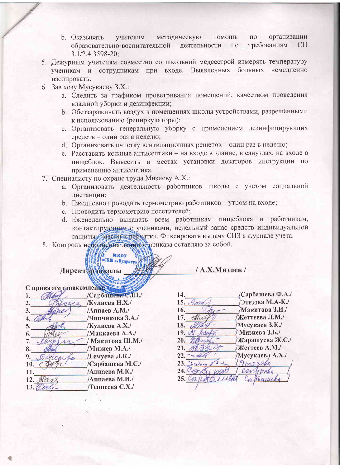- организации  $\overline{10}$ **b.** Оказывать учителям методическую помощь образовательно-воспитательной деятельности требованиям  $C\Pi$  $\Pi$ 3.1/2.4.3598-20;
- 5. Дежурным учителям совместно со школьной медсестрой измерять температуру ученикам и сотрудникам при входе. Выявленных больных немедленно изолировать.
- 6. Зав хозу Мусукаеву З.Х.:
	- а. Следить за графиком проветривания помещений, качеством проведения влажной уборки и дезинфекции;
	- b. Обеззараживать воздух в помещениях школы устройствами, разрешёнными к использованию (рециркуляторы);
	- с. Организовать генеральную уборку с применением дезинфицирующих средств - один раз в неделю;
	- d. Организовать очистку вентиляционных решеток один раз в неделю;
	- е. Расставить кожные антисептики на входе в здание, в санузлах, на входе в пищеблок. Вывесить в местах установки дозаторов инструкции по применению антисептика.
- 7. Специалисту по охране труда Мизиеву А.Х.:
	- а. Организовать деятельность работников школы с учетом социальной дистанции;
	- b. Ежедневно проводить термометрию работников утром на входе;
	- с. Проводить термометрию посетителей;

Мкоу «СОШ с. Вулун

- d. Еженедельно выдавать всем работникам пищеблока и работникам, контактирующим, с учениками, недельный запас средств индивидуальной защиты маски и перчатки. Фиксировать выдачу СИЗ в журнале учета.
- 8. Контроль исполнения данного приказа оставляю за собой.

# **Директор тиколы**

| С приказом ознакомления |                  |
|-------------------------|------------------|
|                         | Сарбашева С.Ш./  |
| 2                       | Кулиева Н.Х./    |
| 3.                      | /Аппаев А.М./    |
| 4.                      | /Чинчикова З.А./ |
| 5.                      | Кулиева А.Х./    |
| 6.                      | /Маккаева А.А./  |
| 7.                      | / Макитова Ш.М./ |
| 8.                      | /Мизиев М.А./    |
| 9.                      | Гемуева Л.К./    |
| 10.                     | Сарбашева М.С./  |
| 11.                     | /Аппаева М.К./   |
| $12.$ $\mathcal{U}$     | /Аппаева М.И./   |
| 13.                     | Теппеева С.Х./   |
|                         |                  |

/ А.Х.Мизиев /

| 14.  |            | Сарбашева Ф.А./ |
|------|------------|-----------------|
| 15.  |            | Этезова М.А-К./ |
| 16.  |            | /Макитова З.И./ |
| 17.  | office     | Жеттеева Л.М./  |
| 18.  |            | Мусукаев З.К./  |
|      | 19. Al     | Мизиева З.Б./   |
| 20.  |            | Жарашуева Ж.С./ |
| 21.  |            | Жеттеев А.М./   |
| 22.  |            | Мусукаева А.Х./ |
| 23.2 | $tilde{e}$ | Imerales        |
| 24.  |            | Caro            |
| 25.  |            |                 |
|      |            |                 |